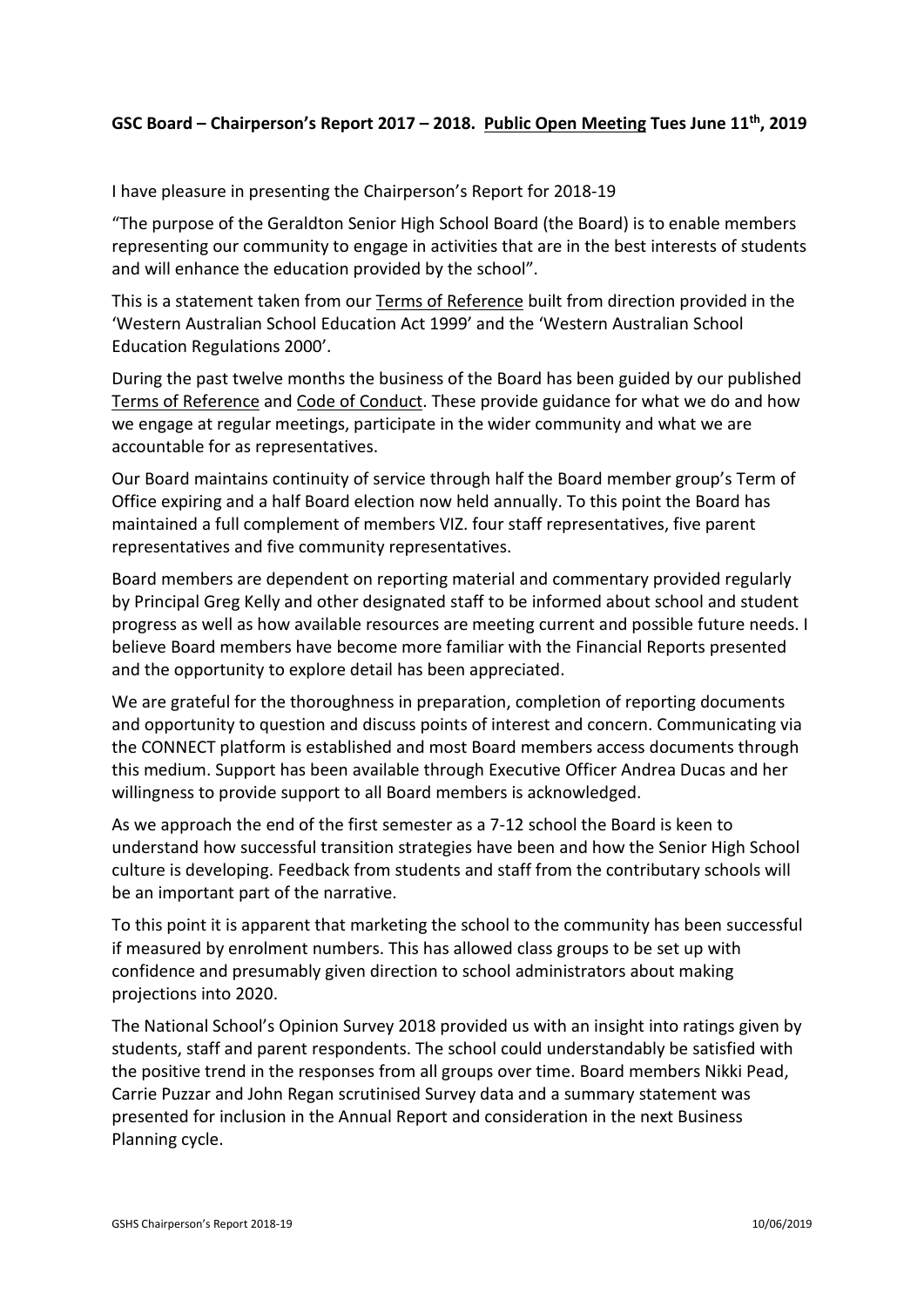## **GSC Board – Chairperson's Report 2017 – 2018. Public Open Meeting Tues June 11th, 2019**

I have pleasure in presenting the Chairperson's Report for 2018-19

"The purpose of the Geraldton Senior High School Board (the Board) is to enable members representing our community to engage in activities that are in the best interests of students and will enhance the education provided by the school".

This is a statement taken from our Terms of Reference built from direction provided in the 'Western Australian School Education Act 1999' and the 'Western Australian School Education Regulations 2000'.

During the past twelve months the business of the Board has been guided by our published Terms of Reference and Code of Conduct. These provide guidance for what we do and how we engage at regular meetings, participate in the wider community and what we are accountable for as representatives.

Our Board maintains continuity of service through half the Board member group's Term of Office expiring and a half Board election now held annually. To this point the Board has maintained a full complement of members VIZ. four staff representatives, five parent representatives and five community representatives.

Board members are dependent on reporting material and commentary provided regularly by Principal Greg Kelly and other designated staff to be informed about school and student progress as well as how available resources are meeting current and possible future needs. I believe Board members have become more familiar with the Financial Reports presented and the opportunity to explore detail has been appreciated.

We are grateful for the thoroughness in preparation, completion of reporting documents and opportunity to question and discuss points of interest and concern. Communicating via the CONNECT platform is established and most Board members access documents through this medium. Support has been available through Executive Officer Andrea Ducas and her willingness to provide support to all Board members is acknowledged.

As we approach the end of the first semester as a 7-12 school the Board is keen to understand how successful transition strategies have been and how the Senior High School culture is developing. Feedback from students and staff from the contributary schools will be an important part of the narrative.

To this point it is apparent that marketing the school to the community has been successful if measured by enrolment numbers. This has allowed class groups to be set up with confidence and presumably given direction to school administrators about making projections into 2020.

The National School's Opinion Survey 2018 provided us with an insight into ratings given by students, staff and parent respondents. The school could understandably be satisfied with the positive trend in the responses from all groups over time. Board members Nikki Pead, Carrie Puzzar and John Regan scrutinised Survey data and a summary statement was presented for inclusion in the Annual Report and consideration in the next Business Planning cycle.